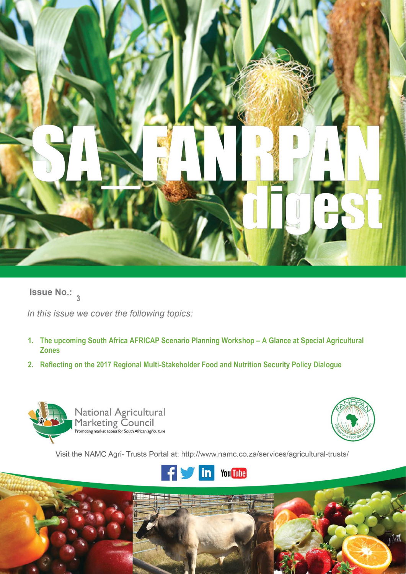

**Issue No.:**  $\frac{3}{3}$ 

In this issue we cover the following topics:

- **1. The upcoming South Africa AFRICAP Scenario Planning Workshop – A Glance at Special Agricultural Zones**
- **2. Reflecting on the 2017 Regional Multi-Stakeholder Food and Nutrition Security Policy Dialogue**





Visit the NAMC Agri- Trusts Portal at: http://www.namc.co.za/services/agricultural-trusts/



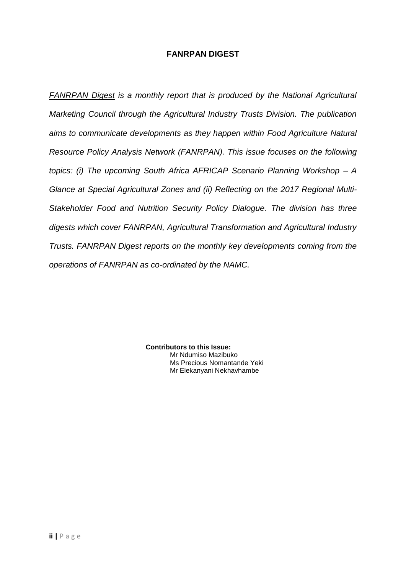# **FANRPAN DIGEST**

*FANRPAN Digest is a monthly report that is produced by the National Agricultural Marketing Council through the Agricultural Industry Trusts Division. The publication aims to communicate developments as they happen within Food Agriculture Natural Resource Policy Analysis Network (FANRPAN). This issue focuses on the following topics: (i) The upcoming South Africa AFRICAP Scenario Planning Workshop – A Glance at Special Agricultural Zones and (ii) Reflecting on the 2017 Regional Multi-Stakeholder Food and Nutrition Security Policy Dialogue. The division has three digests which cover FANRPAN, Agricultural Transformation and Agricultural Industry Trusts. FANRPAN Digest reports on the monthly key developments coming from the operations of FANRPAN as co-ordinated by the NAMC.*

> **Contributors to this Issue:** Mr Ndumiso Mazibuko Ms Precious Nomantande Yeki Mr Elekanyani Nekhavhambe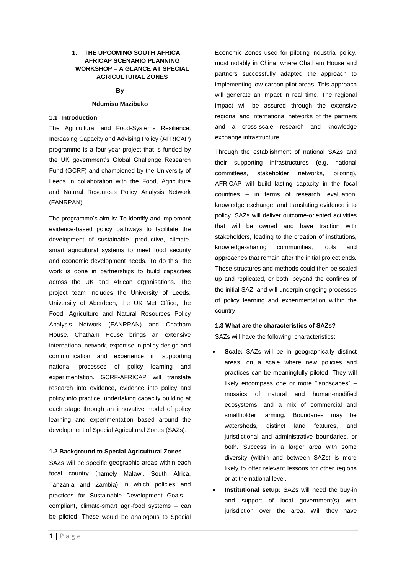# **1. THE UPCOMING SOUTH AFRICA AFRICAP SCENARIO PLANNING WORKSHOP – A GLANCE AT SPECIAL AGRICULTURAL ZONES**

# **By**

## **Ndumiso Mazibuko**

# **1.1 Introduction**

The Agricultural and Food-Systems Resilience: Increasing Capacity and Advising Policy (AFRICAP) programme is a four-year project that is funded by the UK government's Global Challenge Research Fund (GCRF) and championed by the University of Leeds in collaboration with the Food, Agriculture and Natural Resources Policy Analysis Network (FANRPAN).

The programme's aim is: To identify and implement evidence-based policy pathways to facilitate the development of sustainable, productive, climatesmart agricultural systems to meet food security and economic development needs. To do this, the work is done in partnerships to build capacities across the UK and African organisations. The project team includes the University of Leeds, University of Aberdeen, the UK Met Office, the Food, Agriculture and Natural Resources Policy Analysis Network (FANRPAN) and Chatham House. Chatham House brings an extensive international network, expertise in policy design and communication and experience in supporting national processes of policy learning and experimentation. GCRF-AFRICAP will translate research into evidence, evidence into policy and policy into practice, undertaking capacity building at each stage through an innovative model of policy learning and experimentation based around the development of Special Agricultural Zones (SAZs).

# **1.2 Background to Special Agricultural Zones**

SAZs will be specific geographic areas within each focal country (namely Malawi, South Africa, Tanzania and Zambia) in which policies and practices for Sustainable Development Goals – compliant, climate-smart agri-food systems – can be piloted. These would be analogous to Special Economic Zones used for piloting industrial policy, most notably in China, where Chatham House and partners successfully adapted the approach to implementing low-carbon pilot areas. This approach will generate an impact in real time. The regional impact will be assured through the extensive regional and international networks of the partners and a cross-scale research and knowledge exchange infrastructure.

Through the establishment of national SAZs and their supporting infrastructures (e.g. national committees, stakeholder networks, piloting), AFRICAP will build lasting capacity in the focal countries – in terms of research, evaluation, knowledge exchange, and translating evidence into policy. SAZs will deliver outcome-oriented activities that will be owned and have traction with stakeholders, leading to the creation of institutions, knowledge-sharing communities, tools and approaches that remain after the initial project ends. These structures and methods could then be scaled up and replicated, or both, beyond the confines of the initial SAZ, and will underpin ongoing processes of policy learning and experimentation within the country.

## **1.3 What are the characteristics of SAZs?**

SAZs will have the following, characteristics:

- **Scale:** SAZs will be in geographically distinct areas, on a scale where new policies and practices can be meaningfully piloted. They will likely encompass one or more "landscapes" – mosaics of natural and human-modified ecosystems; and a mix of commercial and smallholder farming. Boundaries may be watersheds, distinct land features, and jurisdictional and administrative boundaries, or both. Success in a larger area with some diversity (within and between SAZs) is more likely to offer relevant lessons for other regions or at the national level.
- **Institutional setup:** SAZs will need the buy-in and support of local government(s) with jurisdiction over the area. Will they have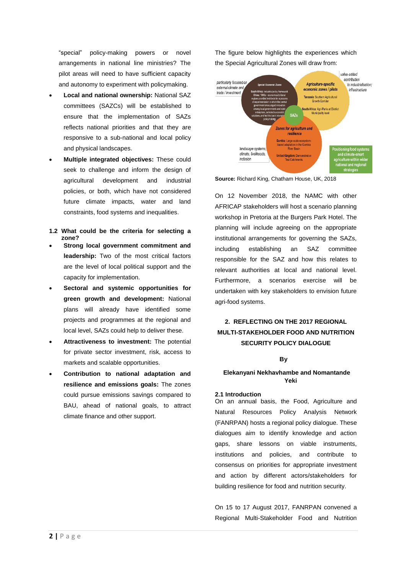"special" policy-making powers or novel arrangements in national line ministries? The pilot areas will need to have sufficient capacity and autonomy to experiment with policymaking.

- **Local and national ownership:** National SAZ committees (SAZCs) will be established to ensure that the implementation of SAZs reflects national priorities and that they are responsive to a sub-national and local policy and physical landscapes.
- **Multiple integrated objectives:** These could seek to challenge and inform the design of agricultural development and industrial policies, or both, which have not considered future climate impacts, water and land constraints, food systems and inequalities.
- **1.2 What could be the criteria for selecting a zone?**
- **Strong local government commitment and leadership:** Two of the most critical factors are the level of local political support and the capacity for implementation.
- **Sectoral and systemic opportunities for green growth and development:** National plans will already have identified some projects and programmes at the regional and local level, SAZs could help to deliver these.
- **Attractiveness to investment:** The potential for private sector investment, risk, access to markets and scalable opportunities.
- **Contribution to national adaptation and resilience and emissions goals:** The zones could pursue emissions savings compared to BAU, ahead of national goals, to attract climate finance and other support.

The figure below highlights the experiences which the Special Agricultural Zones will draw from:



**Source:** Richard King, Chatham House, UK, 2018

On 12 November 2018, the NAMC with other AFRICAP stakeholders will host a scenario planning workshop in Pretoria at the Burgers Park Hotel. The planning will include agreeing on the appropriate institutional arrangements for governing the SAZs, including establishing an SAZ committee responsible for the SAZ and how this relates to relevant authorities at local and national level. Furthermore, a scenarios exercise will be undertaken with key stakeholders to envision future agri-food systems.

# **2. REFLECTING ON THE 2017 REGIONAL MULTI-STAKEHOLDER FOOD AND NUTRITION SECURITY POLICY DIALOGUE**

## **By**

#### **Elekanyani Nekhavhambe and Nomantande Yeki**

#### **2.1 Introduction**

On an annual basis, the Food, Agriculture and Natural Resources Policy Analysis Network (FANRPAN) hosts a regional policy dialogue. These dialogues aim to identify knowledge and action gaps, share lessons on viable instruments, institutions and policies, and contribute to consensus on priorities for appropriate investment and action by different actors/stakeholders for building resilience for food and nutrition security.

On 15 to 17 August 2017, FANRPAN convened a Regional Multi-Stakeholder Food and Nutrition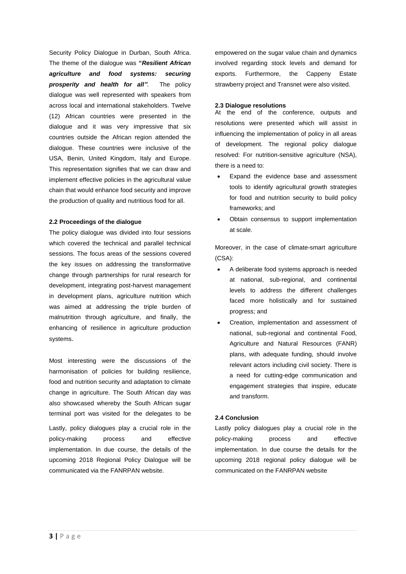Security Policy Dialogue in Durban, South Africa. The theme of the dialogue was **"***Resilient African agriculture and food systems: securing prosperity and health for all".* The policy dialogue was well represented with speakers from across local and international stakeholders. Twelve (12) African countries were presented in the dialogue and it was very impressive that six countries outside the African region attended the dialogue. These countries were inclusive of the USA, Benin, United Kingdom, Italy and Europe. This representation signifies that we can draw and implement effective policies in the agricultural value chain that would enhance food security and improve the production of quality and nutritious food for all.

# **2.2 Proceedings of the dialogue**

The policy dialogue was divided into four sessions which covered the technical and parallel technical sessions. The focus areas of the sessions covered the key issues on addressing the transformative change through partnerships for rural research for development, integrating post-harvest management in development plans, agriculture nutrition which was aimed at addressing the triple burden of malnutrition through agriculture, and finally, the enhancing of resilience in agriculture production systems.

Most interesting were the discussions of the harmonisation of policies for building resilience, food and nutrition security and adaptation to climate change in agriculture. The South African day was also showcased whereby the South African sugar terminal port was visited for the delegates to be

Lastly, policy dialogues play a crucial role in the policy-making process and effective implementation. In due course, the details of the upcoming 2018 Regional Policy Dialogue will be communicated via the FANRPAN website.

empowered on the sugar value chain and dynamics involved regarding stock levels and demand for exports. Furthermore, the Cappeny Estate strawberry project and Transnet were also visited.

# **2.3 Dialogue resolutions**

At the end of the conference, outputs and resolutions were presented which will assist in influencing the implementation of policy in all areas of development. The regional policy dialogue resolved: For nutrition-sensitive agriculture (NSA), there is a need to:

- Expand the evidence base and assessment tools to identify agricultural growth strategies for food and nutrition security to build policy frameworks; and
- Obtain consensus to support implementation at scale.

Moreover, in the case of climate-smart agriculture (CSA):

- A deliberate food systems approach is needed at national, sub-regional, and continental levels to address the different challenges faced more holistically and for sustained progress; and
- Creation, implementation and assessment of national, sub-regional and continental Food, Agriculture and Natural Resources (FANR) plans, with adequate funding, should involve relevant actors including civil society. There is a need for cutting-edge communication and engagement strategies that inspire, educate and transform.

# **2.4 Conclusion**

Lastly policy dialogues play a crucial role in the policy-making process and effective implementation. In due course the details for the upcoming 2018 regional policy dialogue will be communicated on the FANRPAN website